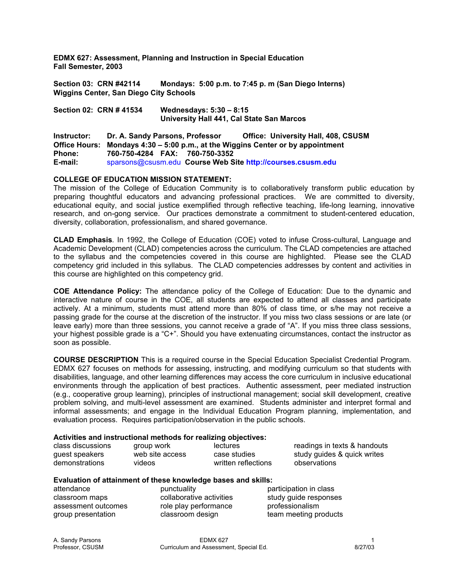**EDMX 627: Assessment, Planning and Instruction in Special Education Fall Semester, 2003** 

**Section 03: CRN #42114 Mondays: 5:00 p.m. to 7:45 p. m (San Diego Interns) Wiggins Center, San Diego City Schools** 

**Section 02: CRN # 41534 Wednesdays: 5:30 – 8:15 University Hall 441, Cal State San Marcos** 

**Instructor: Dr. A. Sandy Parsons, Professor Office: University Hall, 408, CSUSM Office Hours: Mondays 4:30 – 5:00 p.m., at the Wiggins Center or by appointment Phone: 760-750-4284 FAX: 760-750-3352 E-mail:** sparsons@csusm.edu **Course Web Site http://courses.csusm.edu** 

## **COLLEGE OF EDUCATION MISSION STATEMENT:**

The mission of the College of Education Community is to collaboratively transform public education by preparing thoughtful educators and advancing professional practices. We are committed to diversity, educational equity, and social justice exemplified through reflective teaching, life-long learning, innovative research, and on-gong service. Our practices demonstrate a commitment to student-centered education, diversity, collaboration, professionalism, and shared governance.

**CLAD Emphasis***.* In 1992, the College of Education (COE) voted to infuse Cross-cultural, Language and Academic Development (CLAD) competencies across the curriculum. The CLAD competencies are attached to the syllabus and the competencies covered in this course are highlighted. Please see the CLAD competency grid included in this syllabus. The CLAD competencies addresses by content and activities in this course are highlighted on this competency grid.

**COE Attendance Policy:** The attendance policy of the College of Education: Due to the dynamic and interactive nature of course in the COE, all students are expected to attend all classes and participate actively. At a minimum, students must attend more than 80% of class time, or s/he may not receive a passing grade for the course at the discretion of the instructor. If you miss two class sessions or are late (or leave early) more than three sessions, you cannot receive a grade of "A". If you miss three class sessions, your highest possible grade is a "C+". Should you have extenuating circumstances, contact the instructor as soon as possible.

**COURSE DESCRIPTION** This is a required course in the Special Education Specialist Credential Program. EDMX 627 focuses on methods for assessing, instructing, and modifying curriculum so that students with disabilities, language, and other learning differences may access the core curriculum in inclusive educational environments through the application of best practices. Authentic assessment, peer mediated instruction (e.g., cooperative group learning), principles of instructional management; social skill development, creative problem solving, and multi-level assessment are examined. Students administer and interpret formal and informal assessments; and engage in the Individual Education Program planning, implementation, and evaluation process. Requires participation/observation in the public schools.

### **Activities and instructional methods for realizing objectives:**

|                   |                 | .                   |                              |
|-------------------|-----------------|---------------------|------------------------------|
| class discussions | group work      | lectures            | readings in texts & handouts |
| guest speakers    | web site access | case studies        | study guides & quick writes  |
| demonstrations    | videos          | written reflections | observations                 |

#### **Evaluation of attainment of these knowledge bases and skills:**

attendance punctuality participation in class

classroom maps collaborative activities study guide responses assessment outcomes role play performance professionalism

group presentation elassroom design team meeting products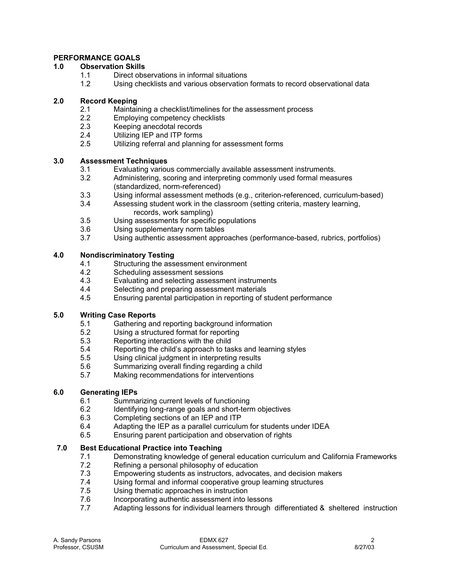# **PERFORMANCE GOALS**

## **1.0 Observation Skills**

- 1.1 Direct observations in informal situations
- 1.2 Using checklists and various observation formats to record observational data

# **2.0 Record Keeping**

- 2.1 Maintaining a checklist/timelines for the assessment process
- 2.2 Employing competency checklists<br>2.3 Keeping anecdotal records
- Keeping anecdotal records
- 2.4 Utilizing IEP and ITP forms
- 2.5 Utilizing referral and planning for assessment forms

# **3.0 Assessment Techniques**

- 3.1 Evaluating various commercially available assessment instruments.
- 3.2 Administering, scoring and interpreting commonly used formal measures (standardized, norm-referenced)
- 3.3 Using informal assessment methods (e.g., criterion-referenced, curriculum-based)
- 3.4 Assessing student work in the classroom (setting criteria, mastery learning, records, work sampling)<br>3.5 Using assessments for specific
- Using assessments for specific populations
- 3.6 Using supplementary norm tables
- 3.7 Using authentic assessment approaches (performance-based, rubrics, portfolios)

# **4.0 Nondiscriminatory Testing**

- 4.1 Structuring the assessment environment
- 4.2 Scheduling assessment sessions
- 4.3 Evaluating and selecting assessment instruments
- 4.4 Selecting and preparing assessment materials
- 4.5 Ensuring parental participation in reporting of student performance

## **5.0 Writing Case Reports**

- 5.1 Gathering and reporting background information
- 5.2 Using a structured format for reporting
- 5.3 Reporting interactions with the child
- 5.4 Reporting the child's approach to tasks and learning styles
- 5.5 Using clinical judgment in interpreting results
- 5.6 Summarizing overall finding regarding a child
- 5.7 Making recommendations for interventions

# **6.0 Generating IEPs**

- 6.1 Summarizing current levels of functioning
- 6.2 Identifying long-range goals and short-term objectives
- 6.3 Completing sections of an IEP and ITP
- 6.4 Adapting the IEP as a parallel curriculum for students under IDEA
- 6.5 Ensuring parent participation and observation of rights

# **7.0 Best Educational Practice into Teaching**

- 7.1 Demonstrating knowledge of general education curriculum and California Frameworks
- 7.2 Refining a personal philosophy of education<br>7.3 Empowering students as instructors, advoca
- Empowering students as instructors, advocates, and decision makers
- 7.4 Using formal and informal cooperative group learning structures
- 7.5 Using thematic approaches in instruction
- 7.6 Incorporating authentic assessment into lessons
- 7.7 Adapting lessons for individual learners through differentiated & sheltered instruction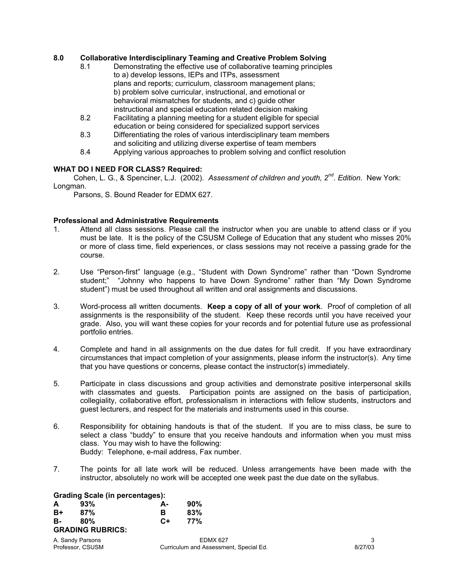## **8.0 Collaborative Interdisciplinary Teaming and Creative Problem Solving**

- 8.1 Demonstrating the effective use of collaborative teaming principles to a) develop lessons, IEPs and ITPs, assessment plans and reports; curriculum, classroom management plans; b) problem solve curricular, instructional, and emotional or behavioral mismatches for students, and c) guide other instructional and special education related decision making
- 8.2 Facilitating a planning meeting for a student eligible for special education or being considered for specialized support services
- 8.3 Differentiating the roles of various interdisciplinary team members and soliciting and utilizing diverse expertise of team members
- 8.4 Applying various approaches to problem solving and conflict resolution

## **WHAT DO I NEED FOR CLASS? Required:**

 Cohen, L. G., & Spenciner, L.J. (2002). *Assessment of children and youth, 2nd. Edition*. New York: Longman.

Parsons, S. Bound Reader for EDMX 627.

### **Professional and Administrative Requirements**

- 1. Attend all class sessions. Please call the instructor when you are unable to attend class or if you must be late. It is the policy of the CSUSM College of Education that any student who misses 20% or more of class time, field experiences, or class sessions may not receive a passing grade for the course.
- 2. Use "Person-first" language (e.g., "Student with Down Syndrome" rather than "Down Syndrome student;" "Johnny who happens to have Down Syndrome" rather than "My Down Syndrome student") must be used throughout all written and oral assignments and discussions.
- 3. Word-process all written documents. **Keep a copy of all of your work**. Proof of completion of all assignments is the responsibility of the student. Keep these records until you have received your grade. Also, you will want these copies for your records and for potential future use as professional portfolio entries.
- 4. Complete and hand in all assignments on the due dates for full credit. If you have extraordinary circumstances that impact completion of your assignments, please inform the instructor(s). Any time that you have questions or concerns, please contact the instructor(s) immediately.
- 5. Participate in class discussions and group activities and demonstrate positive interpersonal skills with classmates and guests. Participation points are assigned on the basis of participation, collegiality, collaborative effort, professionalism in interactions with fellow students, instructors and guest lecturers, and respect for the materials and instruments used in this course.
- 6. Responsibility for obtaining handouts is that of the student. If you are to miss class, be sure to select a class "buddy" to ensure that you receive handouts and information when you must miss class. You may wish to have the following: Buddy: Telephone, e-mail address, Fax number.
- 7. The points for all late work will be reduced. Unless arrangements have been made with the instructor, absolutely no work will be accepted one week past the due date on the syllabus.

#### **Grading Scale (in percentages):**

| A                       | 93% | А-   | 90% |
|-------------------------|-----|------|-----|
| B+                      | 87% | в    | 83% |
| в-                      | 80% | $C+$ | 77% |
| <b>GRADING RUBRICS:</b> |     |      |     |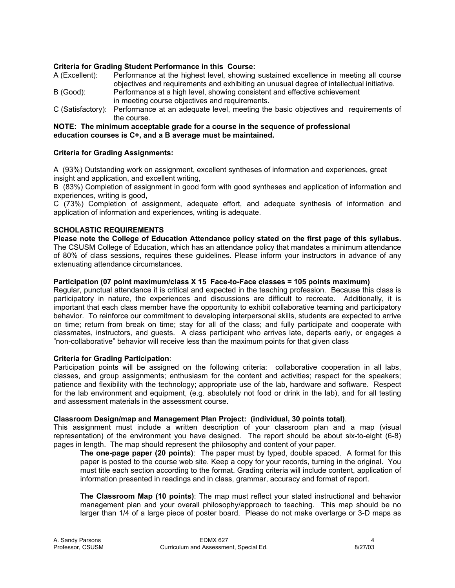## **Criteria for Grading Student Performance in this Course:**

- A (Excellent): Performance at the highest level, showing sustained excellence in meeting all course objectives and requirements and exhibiting an unusual degree of intellectual initiative.
- B (Good): Performance at a high level, showing consistent and effective achievement in meeting course objectives and requirements.
- C (Satisfactory): Performance at an adequate level, meeting the basic objectives and requirements of the course.

### **NOTE: The minimum acceptable grade for a course in the sequence of professional education courses is C+, and a B average must be maintained.**

## **Criteria for Grading Assignments:**

A (93%) Outstanding work on assignment, excellent syntheses of information and experiences, great insight and application, and excellent writing,

B (83%) Completion of assignment in good form with good syntheses and application of information and experiences, writing is good,

C (73%) Completion of assignment, adequate effort, and adequate synthesis of information and application of information and experiences, writing is adequate.

## **SCHOLASTIC REQUIREMENTS**

**Please note the College of Education Attendance policy stated on the first page of this syllabus.**  The CSUSM College of Education, which has an attendance policy that mandates a minimum attendance of 80% of class sessions, requires these guidelines. Please inform your instructors in advance of any extenuating attendance circumstances.

# **Participation (07 point maximum/class X 15 Face-to-Face classes = 105 points maximum)**

Regular, punctual attendance it is critical and expected in the teaching profession. Because this class is participatory in nature, the experiences and discussions are difficult to recreate. Additionally, it is important that each class member have the opportunity to exhibit collaborative teaming and participatory behavior. To reinforce our commitment to developing interpersonal skills, students are expected to arrive on time; return from break on time; stay for all of the class; and fully participate and cooperate with classmates, instructors, and guests. A class participant who arrives late, departs early, or engages a "non-collaborative" behavior will receive less than the maximum points for that given class

### **Criteria for Grading Participation**:

Participation points will be assigned on the following criteria: collaborative cooperation in all labs, classes, and group assignments; enthusiasm for the content and activities; respect for the speakers; patience and flexibility with the technology; appropriate use of the lab, hardware and software. Respect for the lab environment and equipment, (e.g. absolutely not food or drink in the lab), and for all testing and assessment materials in the assessment course.

### **Classroom Design/map and Management Plan Project: (individual, 30 points total)**.

This assignment must include a written description of your classroom plan and a map (visual representation) of the environment you have designed. The report should be about six-to-eight (6-8) pages in length. The map should represent the philosophy and content of your paper.

**The one-page paper (20 points)**: The paper must by typed, double spaced. A format for this paper is posted to the course web site. Keep a copy for your records, turning in the original. You must title each section according to the format. Grading criteria will include content, application of information presented in readings and in class, grammar, accuracy and format of report.

**The Classroom Map (10 points)**: The map must reflect your stated instructional and behavior management plan and your overall philosophy/approach to teaching. This map should be no larger than 1/4 of a large piece of poster board. Please do not make overlarge or 3-D maps as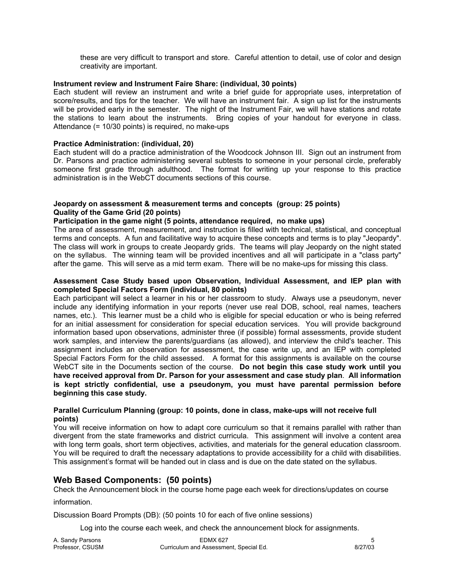these are very difficult to transport and store. Careful attention to detail, use of color and design creativity are important.

### **Instrument review and Instrument Faire Share: (individual, 30 points)**

Each student will review an instrument and write a brief guide for appropriate uses, interpretation of score/results, and tips for the teacher. We will have an instrument fair. A sign up list for the instruments will be provided early in the semester. The night of the Instrument Fair, we will have stations and rotate the stations to learn about the instruments. Bring copies of your handout for everyone in class. Attendance (= 10/30 points) is required, no make-ups

### **Practice Administration: (individual, 20)**

Each student will do a practice administration of the Woodcock Johnson III. Sign out an instrument from Dr. Parsons and practice administering several subtests to someone in your personal circle, preferably someone first grade through adulthood. The format for writing up your response to this practice administration is in the WebCT documents sections of this course.

### **Jeopardy on assessment & measurement terms and concepts (group: 25 points) Quality of the Game Grid (20 points)**

## **Participation in the game night (5 points, attendance required, no make ups)**

The area of assessment, measurement, and instruction is filled with technical, statistical, and conceptual terms and concepts. A fun and facilitative way to acquire these concepts and terms is to play "Jeopardy". The class will work in groups to create Jeopardy grids. The teams will play Jeopardy on the night stated on the syllabus. The winning team will be provided incentives and all will participate in a "class party" after the game. This will serve as a mid term exam. There will be no make-ups for missing this class.

### **Assessment Case Study based upon Observation, Individual Assessment, and IEP plan with completed Special Factors Form (individual, 80 points)**

Each participant will select a learner in his or her classroom to study. Always use a pseudonym, never include any identifying information in your reports (never use real DOB, school, real names, teachers names, etc.). This learner must be a child who is eligible for special education or who is being referred for an initial assessment for consideration for special education services. You will provide background information based upon observations, administer three (if possible) formal assessments, provide student work samples, and interview the parents/guardians (as allowed), and interview the child's teacher. This assignment includes an observation for assessment, the case write up, and an IEP with completed Special Factors Form for the child assessed. A format for this assignments is available on the course WebCT site in the Documents section of the course. **Do not begin this case study work until you have received approval from Dr. Parson for your assessment and case study plan**. **All information is kept strictly confidential, use a pseudonym, you must have parental permission before beginning this case study.** 

### **Parallel Curriculum Planning (group: 10 points, done in class, make-ups will not receive full points)**

You will receive information on how to adapt core curriculum so that it remains parallel with rather than divergent from the state frameworks and district curricula. This assignment will involve a content area with long term goals, short term objectives, activities, and materials for the general education classroom. You will be required to draft the necessary adaptations to provide accessibility for a child with disabilities. This assignment's format will be handed out in class and is due on the date stated on the syllabus.

# **Web Based Components: (50 points)**

Check the Announcement block in the course home page each week for directions/updates on course

information.

Discussion Board Prompts (DB): (50 points 10 for each of five online sessions)

Log into the course each week, and check the announcement block for assignments.

| A. Sandy Parsons | EDMX 627                               |         |
|------------------|----------------------------------------|---------|
| Professor, CSUSM | Curriculum and Assessment, Special Ed. | 8/27/03 |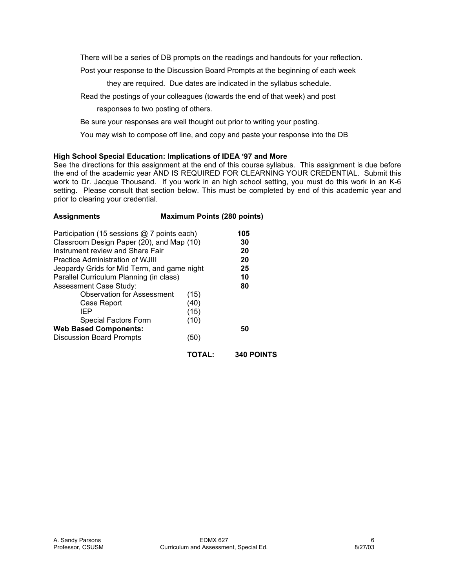There will be a series of DB prompts on the readings and handouts for your reflection.

Post your response to the Discussion Board Prompts at the beginning of each week

they are required. Due dates are indicated in the syllabus schedule.

Read the postings of your colleagues (towards the end of that week) and post

responses to two posting of others.

Be sure your responses are well thought out prior to writing your posting.

You may wish to compose off line, and copy and paste your response into the DB

## **High School Special Education: Implications of IDEA '97 and More**

See the directions for this assignment at the end of this course syllabus. This assignment is due before the end of the academic year AND IS REQUIRED FOR CLEARNING YOUR CREDENTIAL. Submit this work to Dr. Jacque Thousand. If you work in an high school setting, you must do this work in an K-6 setting. Please consult that section below. This must be completed by end of this academic year and prior to clearing your credential.

| <b>Assignments</b>                          | <b>Maximum Points (280 points)</b>        |                   |  |
|---------------------------------------------|-------------------------------------------|-------------------|--|
| Participation (15 sessions @ 7 points each) |                                           | 105               |  |
|                                             | Classroom Design Paper (20), and Map (10) |                   |  |
| Instrument review and Share Fair            |                                           | 20                |  |
| <b>Practice Administration of WJIII</b>     |                                           | 20                |  |
| Jeopardy Grids for Mid Term, and game night |                                           | 25                |  |
| Parallel Curriculum Planning (in class)     |                                           | 10                |  |
| <b>Assessment Case Study:</b>               |                                           | 80                |  |
| <b>Observation for Assessment</b>           | (15)                                      |                   |  |
| Case Report                                 | (40)                                      |                   |  |
| IEP                                         | (15)                                      |                   |  |
| Special Factors Form                        | (10)                                      |                   |  |
| <b>Web Based Components:</b>                |                                           | 50                |  |
| <b>Discussion Board Prompts</b>             | (50)                                      |                   |  |
|                                             | <b>TOTAL:</b>                             | <b>340 POINTS</b> |  |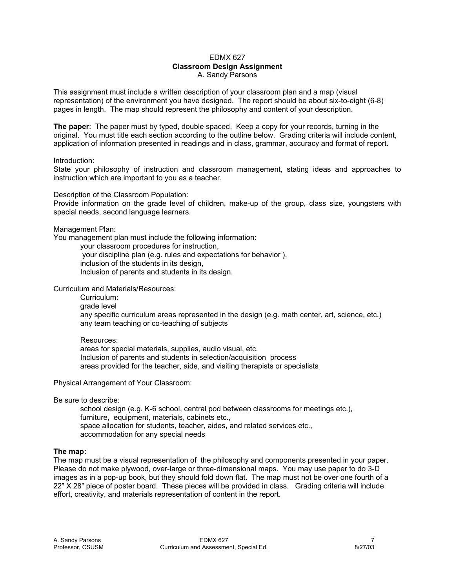#### EDMX 627 **Classroom Design Assignment**  A. Sandy Parsons

This assignment must include a written description of your classroom plan and a map (visual representation) of the environment you have designed. The report should be about six-to-eight (6-8) pages in length. The map should represent the philosophy and content of your description.

**The paper**: The paper must by typed, double spaced. Keep a copy for your records, turning in the original. You must title each section according to the outline below. Grading criteria will include content, application of information presented in readings and in class, grammar, accuracy and format of report.

#### Introduction:

State your philosophy of instruction and classroom management, stating ideas and approaches to instruction which are important to you as a teacher.

Description of the Classroom Population:

Provide information on the grade level of children, make-up of the group, class size, youngsters with special needs, second language learners.

Management Plan:

You management plan must include the following information:

 your classroom procedures for instruction, your discipline plan (e.g. rules and expectations for behavior ), inclusion of the students in its design,

Inclusion of parents and students in its design.

Curriculum and Materials/Resources:

 Curriculum: grade level any specific curriculum areas represented in the design (e.g. math center, art, science, etc.) any team teaching or co-teaching of subjects

### Resources:

 areas for special materials, supplies, audio visual, etc. Inclusion of parents and students in selection/acquisition process areas provided for the teacher, aide, and visiting therapists or specialists

Physical Arrangement of Your Classroom:

Be sure to describe:

 school design (e.g. K-6 school, central pod between classrooms for meetings etc.), furniture, equipment, materials, cabinets etc., space allocation for students, teacher, aides, and related services etc., accommodation for any special needs

### **The map:**

The map must be a visual representation of the philosophy and components presented in your paper. Please do not make plywood, over-large or three-dimensional maps. You may use paper to do 3-D images as in a pop-up book, but they should fold down flat. The map must not be over one fourth of a 22" X 28" piece of poster board. These pieces will be provided in class. Grading criteria will include effort, creativity, and materials representation of content in the report.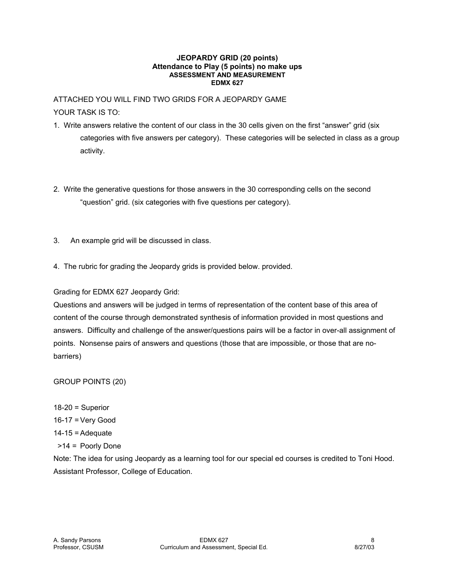#### **JEOPARDY GRID (20 points) Attendance to Play (5 points) no make ups ASSESSMENT AND MEASUREMENT EDMX 627**

# ATTACHED YOU WILL FIND TWO GRIDS FOR A JEOPARDY GAME

# YOUR TASK IS TO:

- 1. Write answers relative the content of our class in the 30 cells given on the first "answer" grid (six categories with five answers per category). These categories will be selected in class as a group activity.
- 2. Write the generative questions for those answers in the 30 corresponding cells on the second "question" grid. (six categories with five questions per category).
- 3. An example grid will be discussed in class.
- 4. The rubric for grading the Jeopardy grids is provided below. provided.

# Grading for EDMX 627 Jeopardy Grid:

Questions and answers will be judged in terms of representation of the content base of this area of content of the course through demonstrated synthesis of information provided in most questions and answers. Difficulty and challenge of the answer/questions pairs will be a factor in over-all assignment of points. Nonsense pairs of answers and questions (those that are impossible, or those that are nobarriers)

# GROUP POINTS (20)

 $18-20$  = Superior 16-17 = Very Good  $14-15$  = Adequate >14 = Poorly Done

Note: The idea for using Jeopardy as a learning tool for our special ed courses is credited to Toni Hood. Assistant Professor, College of Education.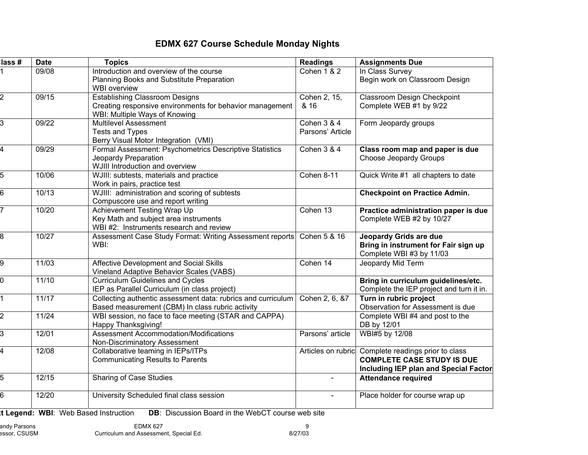# **EDMX 627 Course Schedule Monday Nights**

| lass #           | <b>Date</b> | <b>Topics</b>                                                                                                                      | <b>Readings</b>                 | <b>Assignments Due</b>                                                                                                                   |
|------------------|-------------|------------------------------------------------------------------------------------------------------------------------------------|---------------------------------|------------------------------------------------------------------------------------------------------------------------------------------|
|                  | 09/08       | Introduction and overview of the course<br>Planning Books and Substitute Preparation<br><b>WBI</b> overview                        | <b>Cohen 1 &amp; 2</b>          | In Class Survey<br>Begin work on Classroom Design                                                                                        |
| $\overline{2}$   | 09/15       | <b>Establishing Classroom Designs</b><br>Creating responsive environments for behavior management<br>WBI: Multiple Ways of Knowing | Cohen 2, 15,<br>& 16            | <b>Classroom Design Checkpoint</b><br>Complete WEB #1 by 9/22                                                                            |
| $\overline{3}$   | 09/22       | <b>Multilevel Assessment</b><br><b>Tests and Types</b><br>Berry Visual Motor Integration (VMI)                                     | Cohen 3 & 4<br>Parsons' Article | Form Jeopardy groups                                                                                                                     |
| 4                | 09/29       | Formal Assessment: Psychometrics Descriptive Statistics<br>Jeopardy Preparation<br>WJIII Introduction and overview                 | Cohen 3 & 4                     | Class room map and paper is due<br><b>Choose Jeopardy Groups</b>                                                                         |
| 5                | 10/06       | WJIII: subtests, materials and practice<br>Work in pairs, practice test                                                            | Cohen 8-11                      | Quick Write #1 all chapters to date                                                                                                      |
| $6 \overline{6}$ | 10/13       | WJIII: administration and scoring of subtests<br>Compuscore use and report writing                                                 |                                 | <b>Checkpoint on Practice Admin.</b>                                                                                                     |
| 7                | 10/20       | Achievement Testing Wrap Up<br>Key Math and subject area instruments<br>WBI #2: Instruments research and review                    | Cohen 13                        | Practice administration paper is due<br>Complete WEB #2 by 10/27                                                                         |
| $\overline{8}$   | 10/27       | Assessment Case Study Format: Writing Assessment reports<br>WBI:                                                                   | Cohen 5 & 16                    | Jeopardy Grids are due<br>Bring in instrument for Fair sign up<br>Complete WBI #3 by 11/03                                               |
| 9                | 11/03       | Affective Development and Social Skills<br>Vineland Adaptive Behavior Scales (VABS)                                                | Cohen 14                        | Jeopardy Mid Term                                                                                                                        |
| $\overline{0}$   | 11/10       | <b>Curriculum Guidelines and Cycles</b><br>IEP as Parallel Curriculum (in class project)                                           |                                 | Bring in curriculum guidelines/etc.<br>Complete the IEP project and turn it in.                                                          |
| $\overline{1}$   | 11/17       | Collecting authentic assessment data: rubrics and curriculum<br>Based measurement (CBM) In class rubric activity                   | Cohen 2, 6, &7                  | Turn in rubric project<br>Observation for Assessment is due                                                                              |
| $\overline{2}$   | 11/24       | WBI session, no face to face meeting (STAR and CAPPA)<br>Happy Thanksgiving!                                                       |                                 | Complete WBI #4 and post to the<br>DB by 12/01                                                                                           |
| $\overline{3}$   | 12/01       | <b>Assessment Accommodation/Modifications</b><br>Non-Discriminatory Assessment                                                     | Parsons' article                | WBI#5 by 12/08                                                                                                                           |
| 4                | 12/08       | Collaborative teaming in IEPs/ITPs<br><b>Communicating Results to Parents</b>                                                      |                                 | Articles on rubric Complete readings prior to class<br><b>COMPLETE CASE STUDY IS DUE</b><br><b>Including IEP plan and Special Factor</b> |
| 5                | 12/15       | Sharing of Case Studies                                                                                                            |                                 | <b>Attendance required</b>                                                                                                               |
| 6                | 12/20       | University Scheduled final class session                                                                                           |                                 | Place holder for course wrap up                                                                                                          |

**xt Legend: WBI**: Web Based Instruction **DB**: Discussion Board in the WebCT course web site